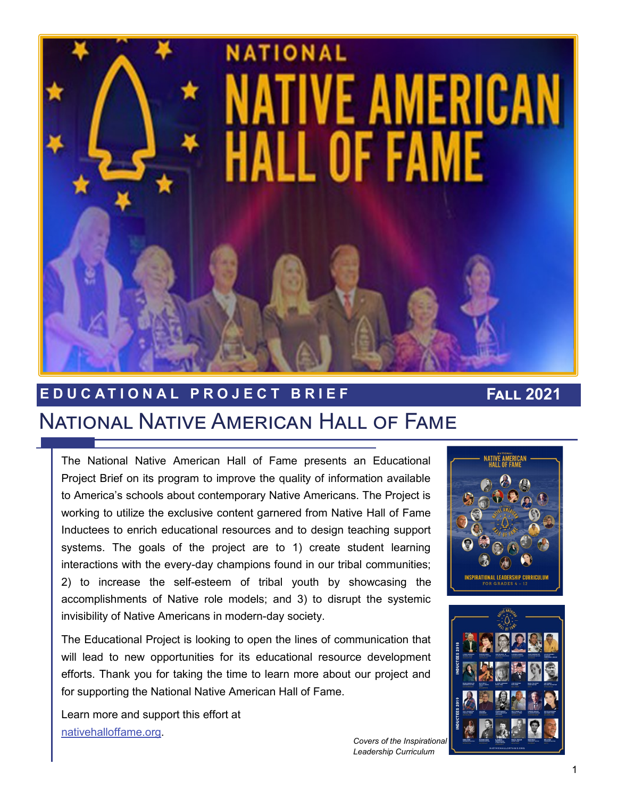

#### National Native American Hall of Fame **E D U C A T I O N A L P R O J E C T B R I E F**

The National Native American Hall of Fame presents an Educational Project Brief on its program to improve the quality of information available to America's schools about contemporary Native Americans. The Project is working to utilize the exclusive content garnered from Native Hall of Fame Inductees to enrich educational resources and to design teaching support systems. The goals of the project are to 1) create student learning interactions with the every-day champions found in our tribal communities; 2) to increase the self-esteem of tribal youth by showcasing the accomplishments of Native role models; and 3) to disrupt the systemic invisibility of Native Americans in modern-day society.

The Educational Project is looking to open the lines of communication that will lead to new opportunities for its educational resource development efforts. Thank you for taking the time to learn more about our project and for supporting the National Native American Hall of Fame.

Learn more and support this effort at [nativehalloffame.org.](nativehalloffame.org) 





*Covers of the Inspirational Leadership Curriculum*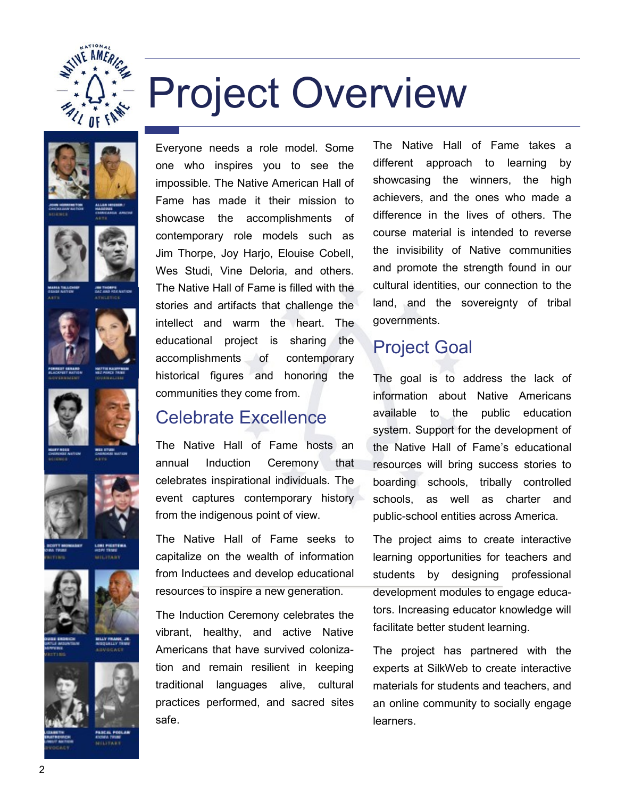













# Project Overview

Everyone needs a role model. Some one who inspires you to see the impossible. The Native American Hall of Fame has made it their mission to showcase the accomplishments of contemporary role models such as Jim Thorpe, Joy Harjo, Elouise Cobell, Wes Studi, Vine Deloria, and others. The Native Hall of Fame is filled with the stories and artifacts that challenge the intellect and warm the heart. The educational project is sharing the accomplishments of contemporary historical figures and honoring the communities they come from.

#### Celebrate Excellence

The Native Hall of Fame hosts an annual Induction Ceremony that celebrates inspirational individuals. The event captures contemporary history from the indigenous point of view.

The Native Hall of Fame seeks to capitalize on the wealth of information from Inductees and develop educational resources to inspire a new generation.

The Induction Ceremony celebrates the vibrant, healthy, and active Native Americans that have survived colonization and remain resilient in keeping traditional languages alive, cultural practices performed, and sacred sites safe.

The Native Hall of Fame takes a different approach to learning by showcasing the winners, the high achievers, and the ones who made a difference in the lives of others. The course material is intended to reverse the invisibility of Native communities and promote the strength found in our cultural identities, our connection to the land, and the sovereignty of tribal governments.

#### Project Goal

The goal is to address the lack of information about Native Americans available to the public education system. Support for the development of the Native Hall of Fame's educational resources will bring success stories to boarding schools, tribally controlled schools, as well as charter and public-school entities across America.

The project aims to create interactive learning opportunities for teachers and students by designing professional development modules to engage educators. Increasing educator knowledge will facilitate better student learning.

The project has partnered with the experts at SilkWeb to create interactive materials for students and teachers, and an online community to socially engage learners.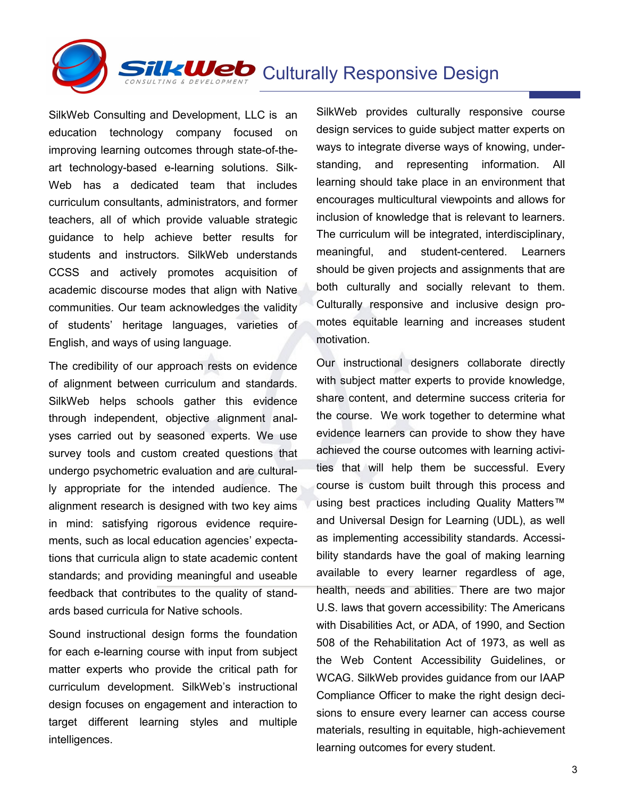**FILK Web** Culturally Responsive Design

SilkWeb Consulting and Development, LLC is an education technology company focused on improving learning outcomes through state-of-theart technology-based e-learning solutions. Silk-Web has a dedicated team that includes curriculum consultants, administrators, and former teachers, all of which provide valuable strategic guidance to help achieve better results for students and instructors. SilkWeb understands CCSS and actively promotes acquisition of academic discourse modes that align with Native communities. Our team acknowledges the validity of students' heritage languages, varieties of English, and ways of using language.

The credibility of our approach rests on evidence of alignment between curriculum and standards. SilkWeb helps schools gather this evidence through independent, objective alignment analyses carried out by seasoned experts. We use survey tools and custom created questions that undergo psychometric evaluation and are culturally appropriate for the intended audience. The alignment research is designed with two key aims in mind: satisfying rigorous evidence requirements, such as local education agencies' expectations that curricula align to state academic content standards; and providing meaningful and useable feedback that contributes to the quality of standards based curricula for Native schools.

Sound instructional design forms the foundation for each e-learning course with input from subject matter experts who provide the critical path for curriculum development. SilkWeb's instructional design focuses on engagement and interaction to target different learning styles and multiple intelligences.

SilkWeb provides culturally responsive course design services to guide subject matter experts on ways to integrate diverse ways of knowing, understanding, and representing information. All learning should take place in an environment that encourages multicultural viewpoints and allows for inclusion of knowledge that is relevant to learners. The curriculum will be integrated, interdisciplinary, meaningful, and student-centered. Learners should be given projects and assignments that are both culturally and socially relevant to them. Culturally responsive and inclusive design promotes equitable learning and increases student motivation.

Our instructional designers collaborate directly with subject matter experts to provide knowledge, share content, and determine success criteria for the course. We work together to determine what evidence learners can provide to show they have achieved the course outcomes with learning activities that will help them be successful. Every course is custom built through this process and using best practices including Quality Matters™ and Universal Design for Learning (UDL), as well as implementing accessibility standards. Accessibility standards have the goal of making learning available to every learner regardless of age, health, needs and abilities. There are two major U.S. laws that govern accessibility: The Americans with Disabilities Act, or ADA, of 1990, and Section 508 of the Rehabilitation Act of 1973, as well as the Web Content Accessibility Guidelines, or WCAG. SilkWeb provides guidance from our IAAP Compliance Officer to make the right design decisions to ensure every learner can access course materials, resulting in equitable, high-achievement learning outcomes for every student.